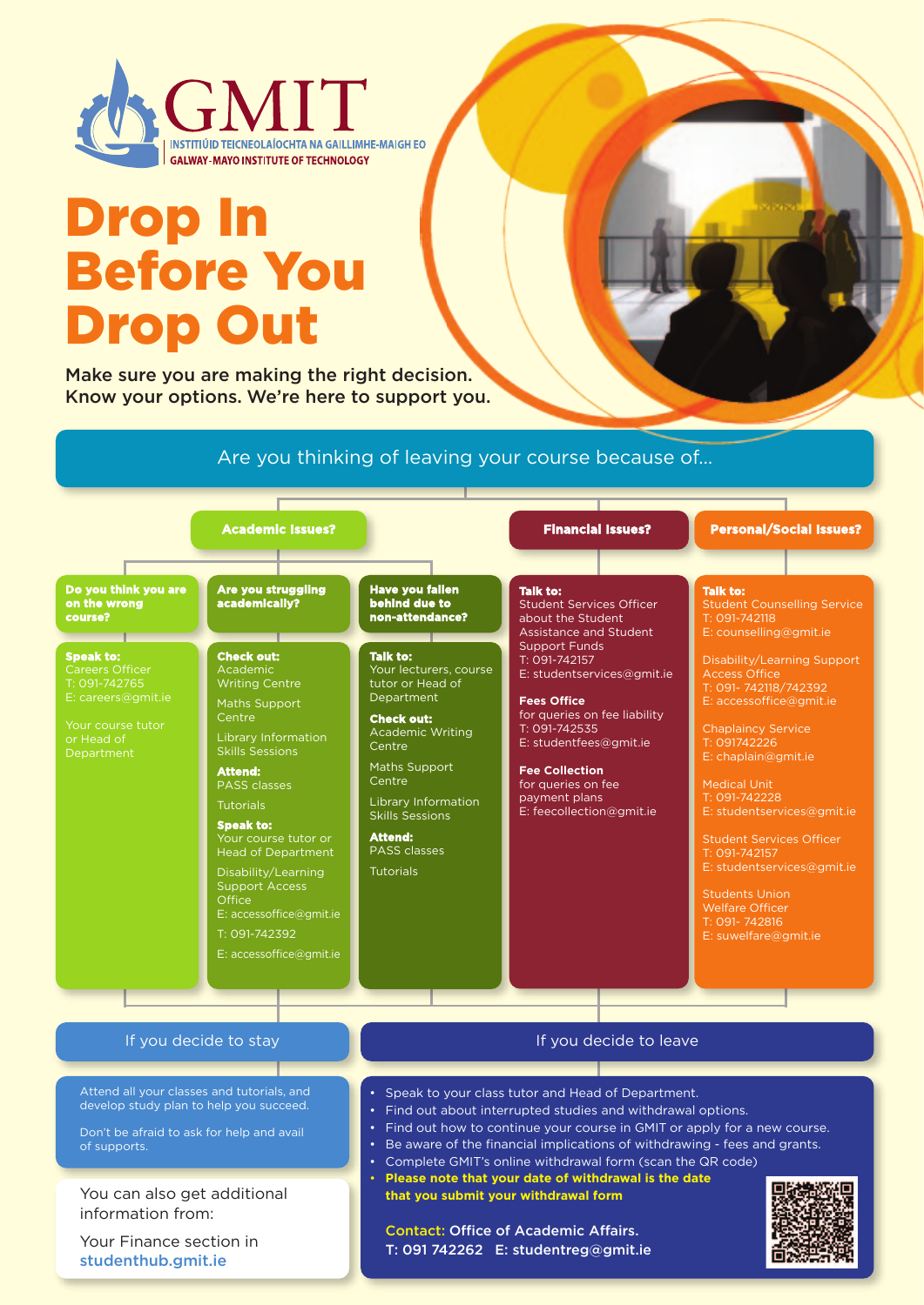

# Drop In Before You Drop Out

Make sure you are making the right decision. Know your options. We're here to support you.

### Are you thinking of leaving your course because of…



Attend all your classes and tutorials, and develop study plan to help you succeed.

Don't be afraid to ask for help and avail of supports.

You can also get additional information from:

Your Finance section in studenthub.gmit.ie

#### If you decide to leave

- Speak to your class tutor and Head of Department.
- Find out about interrupted studies and withdrawal options.
- Find out how to continue your course in GMIT or apply for a new course.
- Be aware of the financial implications of withdrawing fees and grants.
- Complete GMIT's online withdrawal form (scan the QR code)
- **Please note that your date of withdrawal is the date that you submit your withdrawal form**

 Contact: Office of Academic Affairs. T: 091 742262 E: studentreg@gmit.ie